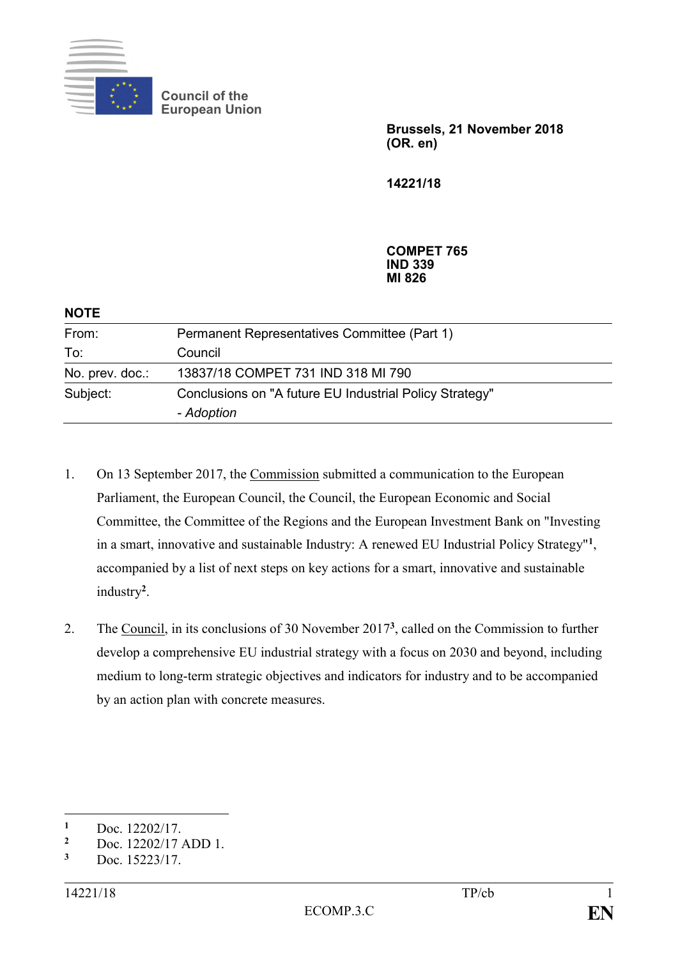

**Council of the European Union**

> **Brussels, 21 November 2018 (OR. en)**

**14221/18**

**COMPET 765 IND 339 MI 826**

| <b>NOTE</b>     |                                                                       |  |
|-----------------|-----------------------------------------------------------------------|--|
| From:           | Permanent Representatives Committee (Part 1)                          |  |
| To:             | Council                                                               |  |
| No. prev. doc.: | 13837/18 COMPET 731 IND 318 MI 790                                    |  |
| Subject:        | Conclusions on "A future EU Industrial Policy Strategy"<br>- Adoption |  |

- 1. On 13 September 2017, the Commission submitted a communication to the European Parliament, the European Council, the Council, the European Economic and Social Committee, the Committee of the Regions and the European Investment Bank on "Investing in a smart, innovative and sustainable Industry: A renewed EU Industrial Policy Strategy"**<sup>1</sup>** , accompanied by a list of next steps on key actions for a smart, innovative and sustainable industry**<sup>2</sup>** .
- 2. The Council, in its conclusions of 30 November 2017**<sup>3</sup>** , called on the Commission to further develop a comprehensive EU industrial strategy with a focus on 2030 and beyond, including medium to long-term strategic objectives and indicators for industry and to be accompanied by an action plan with concrete measures.

<u>.</u>

 $\frac{1}{2}$  Doc. 12202/17.

 $\frac{2}{3}$  Doc. 12202/17 ADD 1.

**<sup>3</sup>** Doc. 15223/17.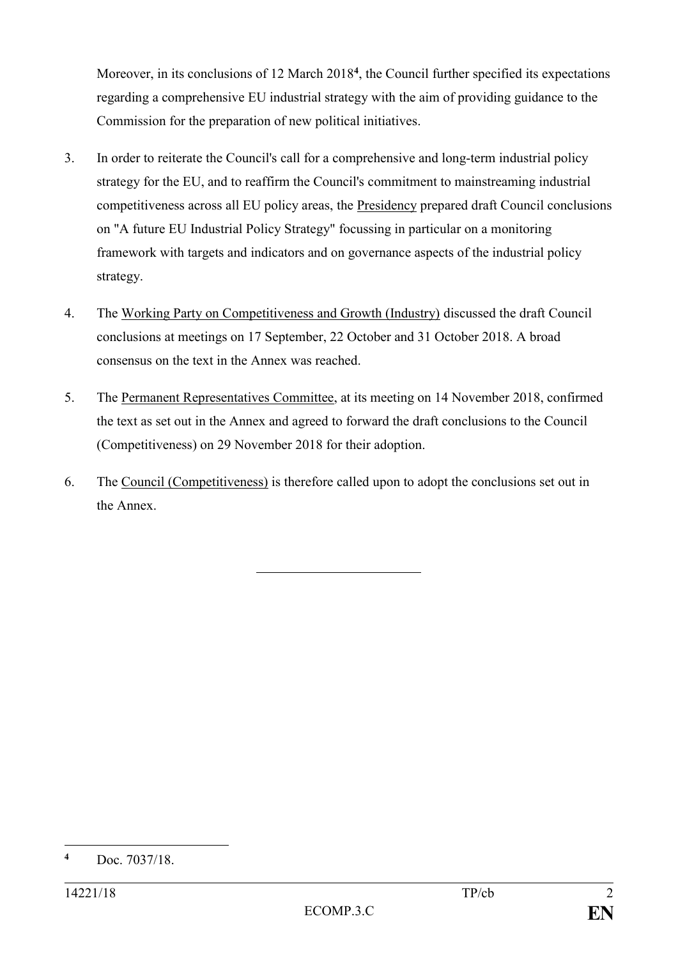Moreover, in its conclusions of 12 March 2018**<sup>4</sup>** , the Council further specified its expectations regarding a comprehensive EU industrial strategy with the aim of providing guidance to the Commission for the preparation of new political initiatives.

- 3. In order to reiterate the Council's call for a comprehensive and long-term industrial policy strategy for the EU, and to reaffirm the Council's commitment to mainstreaming industrial competitiveness across all EU policy areas, the Presidency prepared draft Council conclusions on "A future EU Industrial Policy Strategy" focussing in particular on a monitoring framework with targets and indicators and on governance aspects of the industrial policy strategy.
- 4. The Working Party on Competitiveness and Growth (Industry) discussed the draft Council conclusions at meetings on 17 September, 22 October and 31 October 2018. A broad consensus on the text in the Annex was reached.
- 5. The Permanent Representatives Committee, at its meeting on 14 November 2018, confirmed the text as set out in the Annex and agreed to forward the draft conclusions to the Council (Competitiveness) on 29 November 2018 for their adoption.
- 6. The Council (Competitiveness) is therefore called upon to adopt the conclusions set out in the Annex.

<sup>1</sup> **<sup>4</sup>** Doc. 7037/18.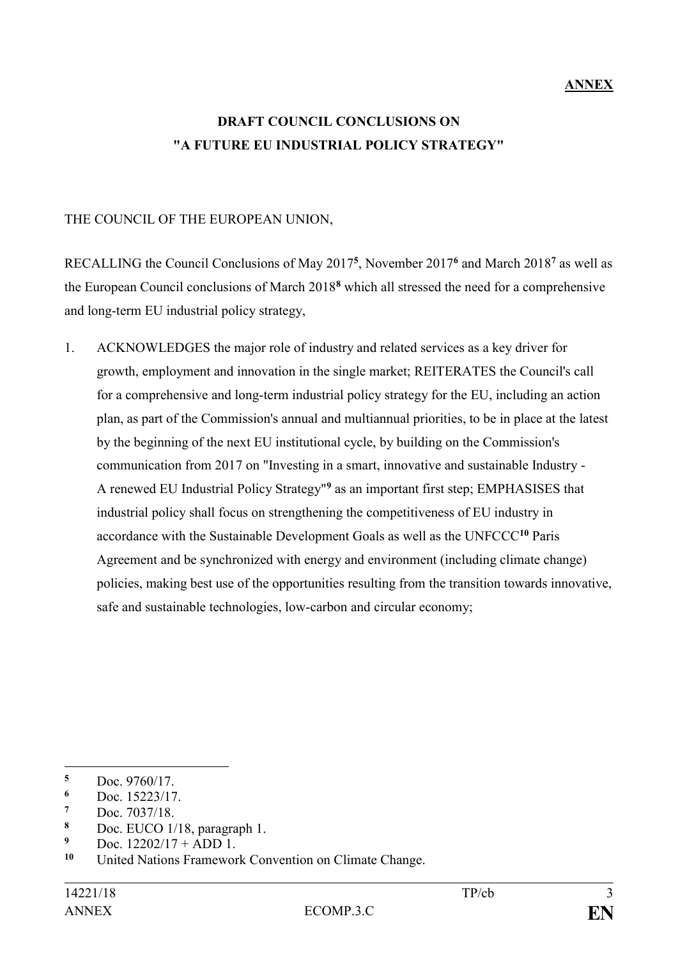## **ANNEX**

## **DRAFT COUNCIL CONCLUSIONS ON "A FUTURE EU INDUSTRIAL POLICY STRATEGY"**

## THE COUNCIL OF THE EUROPEAN UNION,

RECALLING the Council Conclusions of May 2017**<sup>5</sup>** , November 2017**<sup>6</sup>** and March 2018**<sup>7</sup>** as well as the European Council conclusions of March 2018**<sup>8</sup>** which all stressed the need for a comprehensive and long-term EU industrial policy strategy,

1. ACKNOWLEDGES the major role of industry and related services as a key driver for growth, employment and innovation in the single market; REITERATES the Council's call for a comprehensive and long-term industrial policy strategy for the EU, including an action plan, as part of the Commission's annual and multiannual priorities, to be in place at the latest by the beginning of the next EU institutional cycle, by building on the Commission's communication from 2017 on "Investing in a smart, innovative and sustainable Industry - A renewed EU Industrial Policy Strategy"**<sup>9</sup>** as an important first step; EMPHASISES that industrial policy shall focus on strengthening the competitiveness of EU industry in accordance with the Sustainable Development Goals as well as the UNFCCC**<sup>10</sup>** Paris Agreement and be synchronized with energy and environment (including climate change) policies, making best use of the opportunities resulting from the transition towards innovative, safe and sustainable technologies, low-carbon and circular economy;

<sup>1</sup> **<sup>5</sup>** Doc. 9760/17.

 $\frac{6}{7}$  Doc. 15223/17.

 $\frac{7}{8}$  Doc. 7037/18.

**<sup>8</sup>** Doc. EUCO 1/18, paragraph 1.

<sup>&</sup>lt;sup>9</sup> Doc.  $12202/17 + ADD 1$ .<br><sup>10</sup> United Nations Framework

**<sup>10</sup>** United Nations Framework Convention on Climate Change.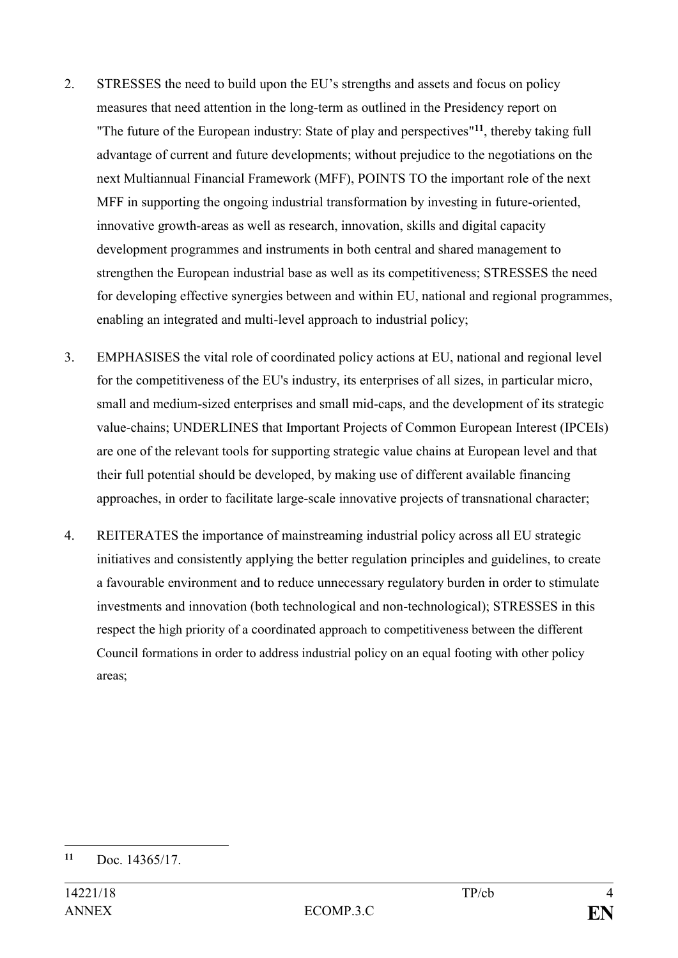- 2. STRESSES the need to build upon the EU's strengths and assets and focus on policy measures that need attention in the long-term as outlined in the Presidency report on "The future of the European industry: State of play and perspectives"**<sup>11</sup>**, thereby taking full advantage of current and future developments; without prejudice to the negotiations on the next Multiannual Financial Framework (MFF), POINTS TO the important role of the next MFF in supporting the ongoing industrial transformation by investing in future-oriented, innovative growth-areas as well as research, innovation, skills and digital capacity development programmes and instruments in both central and shared management to strengthen the European industrial base as well as its competitiveness; STRESSES the need for developing effective synergies between and within EU, national and regional programmes, enabling an integrated and multi-level approach to industrial policy;
- 3. EMPHASISES the vital role of coordinated policy actions at EU, national and regional level for the competitiveness of the EU's industry, its enterprises of all sizes, in particular micro, small and medium-sized enterprises and small mid-caps, and the development of its strategic value-chains; UNDERLINES that Important Projects of Common European Interest (IPCEIs) are one of the relevant tools for supporting strategic value chains at European level and that their full potential should be developed, by making use of different available financing approaches, in order to facilitate large-scale innovative projects of transnational character;
- 4. REITERATES the importance of mainstreaming industrial policy across all EU strategic initiatives and consistently applying the better regulation principles and guidelines, to create a favourable environment and to reduce unnecessary regulatory burden in order to stimulate investments and innovation (both technological and non-technological); STRESSES in this respect the high priority of a coordinated approach to competitiveness between the different Council formations in order to address industrial policy on an equal footing with other policy areas;

1

**<sup>11</sup>** Doc. 14365/17.